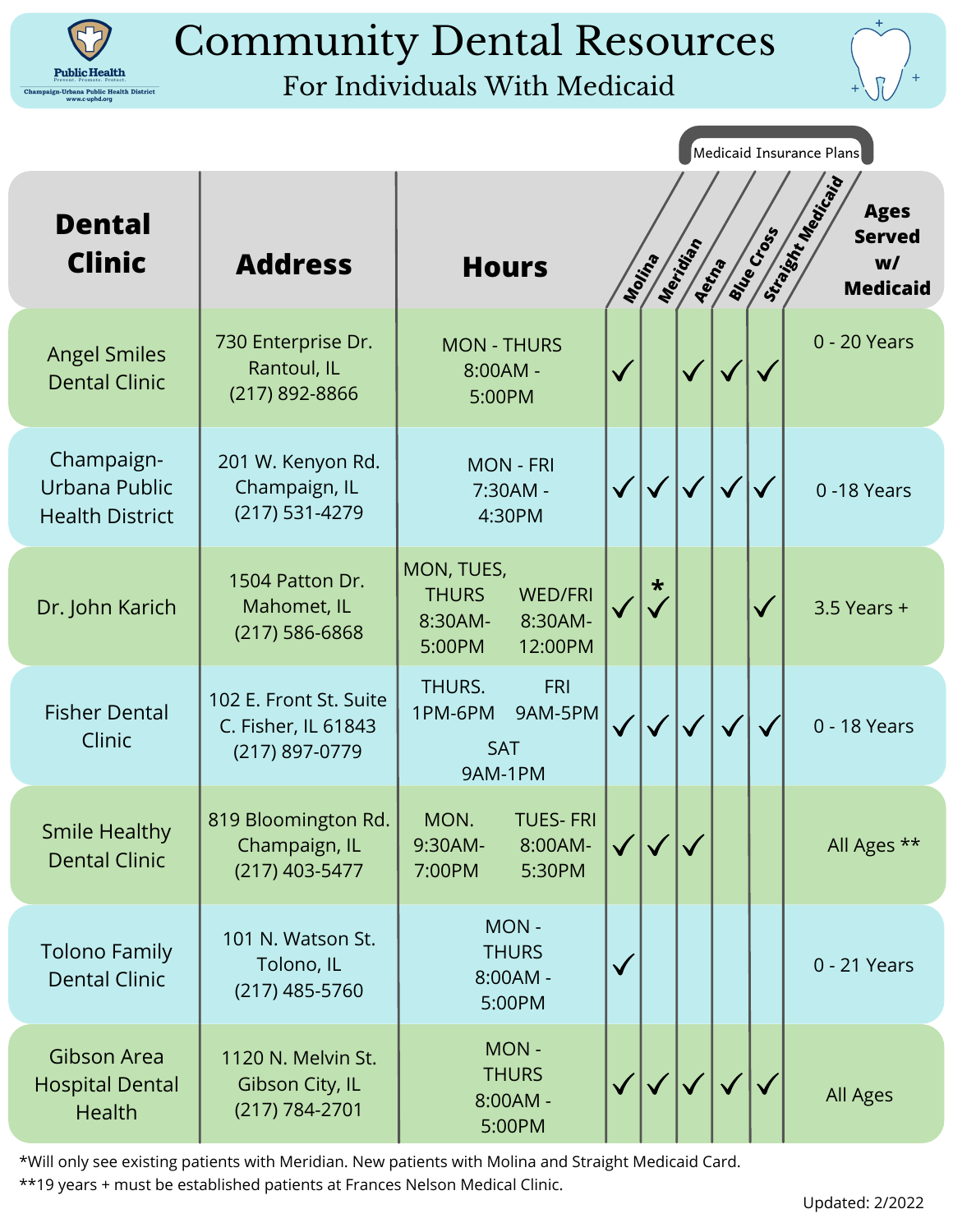

# Community Dental Resources

## For Individuals With Medicaid



|                                                               |                                                                 |                                                                                         |              |                     |       |                   |              | Medicaid Insurance Plans                                                         |
|---------------------------------------------------------------|-----------------------------------------------------------------|-----------------------------------------------------------------------------------------|--------------|---------------------|-------|-------------------|--------------|----------------------------------------------------------------------------------|
| <b>Dental</b><br><b>Clinic</b>                                | <b>Address</b>                                                  | <b>Hours</b>                                                                            |              | Meridian<br>Molting | Aetha | <b>Blue Cross</b> |              | Straited Magicial Cavis<br><b>Ages</b><br><b>Served</b><br>W/<br><b>Medicaid</b> |
| <b>Angel Smiles</b><br><b>Dental Clinic</b>                   | 730 Enterprise Dr.<br>Rantoul, IL<br>(217) 892-8866             | <b>MON - THURS</b><br>8:00AM -<br>5:00PM                                                |              |                     |       |                   |              | 0 - 20 Years                                                                     |
| Champaign-<br>Urbana Public<br><b>Health District</b>         | 201 W. Kenyon Rd.<br>Champaign, IL<br>(217) 531-4279            | <b>MON - FRI</b><br>7:30AM -<br>4:30PM                                                  |              |                     |       | $\checkmark$      | $\checkmark$ | 0-18 Years                                                                       |
| Dr. John Karich                                               | 1504 Patton Dr.<br>Mahomet, IL<br>$(217) 586 - 6868$            | MON, TUES,<br><b>THURS</b><br><b>WED/FRI</b><br>8:30AM-<br>8:30AM-<br>5:00PM<br>12:00PM | $\checkmark$ | $\star$             |       |                   | $\checkmark$ | $3.5$ Years +                                                                    |
| <b>Fisher Dental</b><br>Clinic                                | 102 E. Front St. Suite<br>C. Fisher, IL 61843<br>(217) 897-0779 | THURS.<br><b>FRI</b><br>1PM-6PM<br>9AM-5PM<br>SAT<br>9AM-1PM                            |              |                     |       |                   |              | 0 - 18 Years                                                                     |
| <b>Smile Healthy</b><br><b>Dental Clinic</b>                  | 819 Bloomington Rd.<br>Champaign, IL<br>(217) 403-5477          | MON.<br><b>TUES-FRI</b><br>8:00AM-<br>9:30AM-<br>5:30PM<br>7:00PM                       |              |                     |       |                   |              | All Ages **                                                                      |
| <b>Tolono Family</b><br><b>Dental Clinic</b>                  | 101 N. Watson St.<br>Tolono, IL<br>$(217)$ 485-5760             | MON-<br><b>THURS</b><br>8:00AM -<br>5:00PM                                              |              |                     |       |                   |              | 0 - 21 Years                                                                     |
| <b>Gibson Area</b><br><b>Hospital Dental</b><br><b>Health</b> | 1120 N. Melvin St.<br>Gibson City, IL<br>(217) 784-2701         | MON-<br><b>THURS</b><br>$8:00AM -$<br>5:00PM                                            |              |                     |       |                   |              | All Ages                                                                         |

\*Will only see existing patients with Meridian. New patients with Molina and Straight Medicaid Card.

\*\*19 years + must be established patients at Frances Nelson Medical Clinic.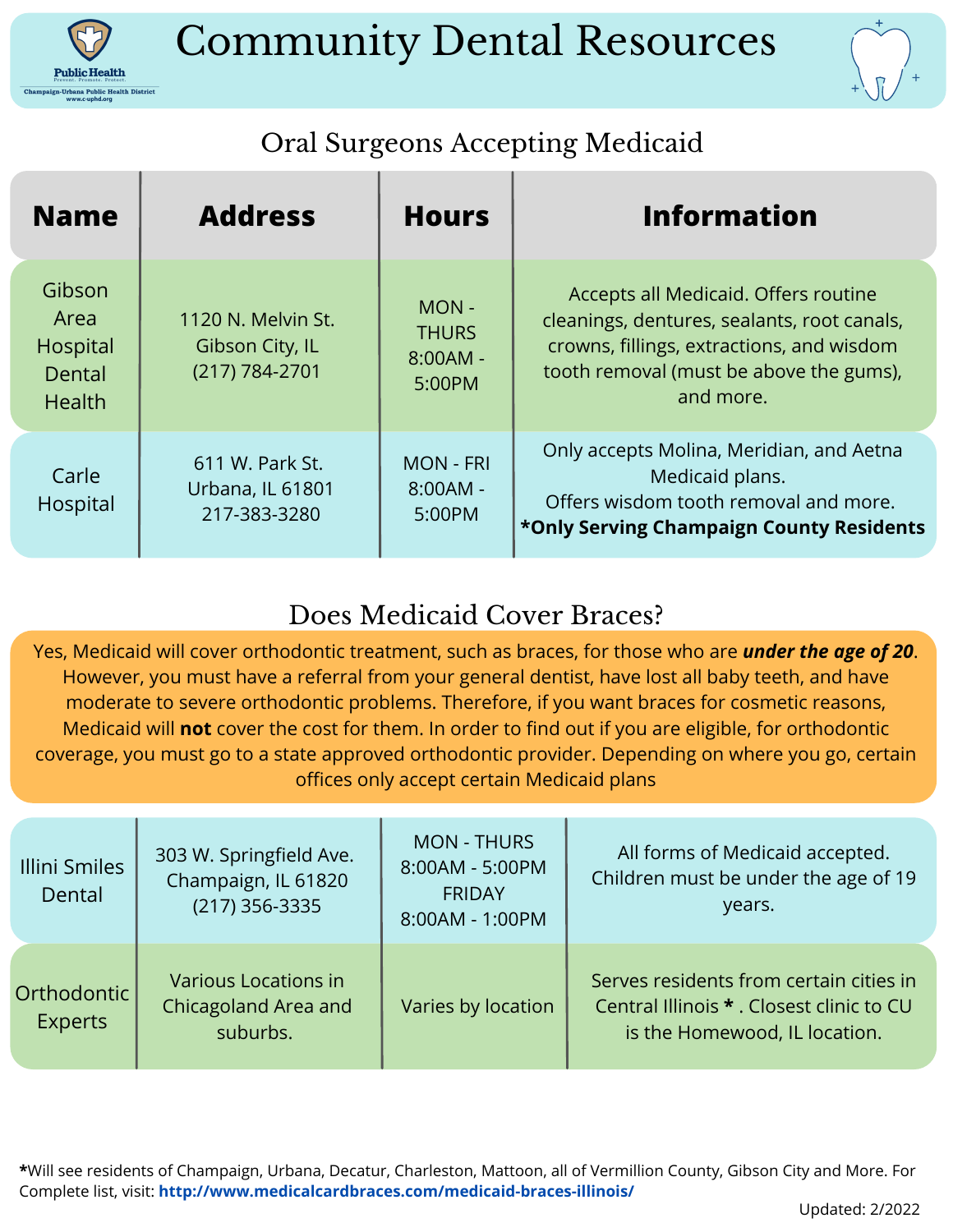

## Community Dental Resources



## Oral Surgeons Accepting Medicaid

| <b>Name</b>                                           | <b>Address</b>                                          | <b>Hours</b>                                 | <b>Information</b>                                                                                                                                                                       |
|-------------------------------------------------------|---------------------------------------------------------|----------------------------------------------|------------------------------------------------------------------------------------------------------------------------------------------------------------------------------------------|
| Gibson<br>Area<br>Hospital<br>Dental<br><b>Health</b> | 1120 N. Melvin St.<br>Gibson City, IL<br>(217) 784-2701 | MON-<br><b>THURS</b><br>$8:00AM -$<br>5:00PM | Accepts all Medicaid. Offers routine<br>cleanings, dentures, sealants, root canals,<br>crowns, fillings, extractions, and wisdom<br>tooth removal (must be above the gums),<br>and more. |
| Carle<br>Hospital                                     | 611 W. Park St.<br>Urbana, IL 61801<br>217-383-3280     | <b>MON - FRI</b><br>$8:00AM -$<br>5:00PM     | Only accepts Molina, Meridian, and Aetna<br>Medicaid plans.<br>Offers wisdom tooth removal and more.<br>*Only Serving Champaign County Residents                                         |

### Does Medicaid Cover Braces?

Yes, Medicaid will cover orthodontic treatment, such as braces, for those who are *under the age of 20*. However, you must have a referral from your general dentist, have lost all baby teeth, and have moderate to severe orthodontic problems. Therefore, if you want braces for cosmetic reasons, Medicaid will **not** cover the cost for them. In order to find out if you are eligible, for orthodontic coverage, you must go to a state approved orthodontic provider. Depending on where you go, certain offices only accept certain Medicaid plans

| Illini Smiles<br>Dental       | 303 W. Springfield Ave.<br>Champaign, IL 61820<br>$(217)$ 356-3335 | <b>MON - THURS</b><br>8:00AM - 5:00PM<br><b>FRIDAY</b><br>8:00AM - 1:00PM | All forms of Medicaid accepted.<br>Children must be under the age of 19<br>years.                                     |
|-------------------------------|--------------------------------------------------------------------|---------------------------------------------------------------------------|-----------------------------------------------------------------------------------------------------------------------|
| Orthodontic<br><b>Experts</b> | <b>Various Locations in</b><br>Chicagoland Area and<br>suburbs.    | Varies by location                                                        | Serves residents from certain cities in<br>Central Illinois * . Closest clinic to CU<br>is the Homewood, IL location. |

**\***Will see residents of Champaign, Urbana, Decatur, Charleston, Mattoon, all of Vermillion County, Gibson City and More. For Complete list, visit: **http://www.medicalcardbraces.com/medicaid-braces-illinois/**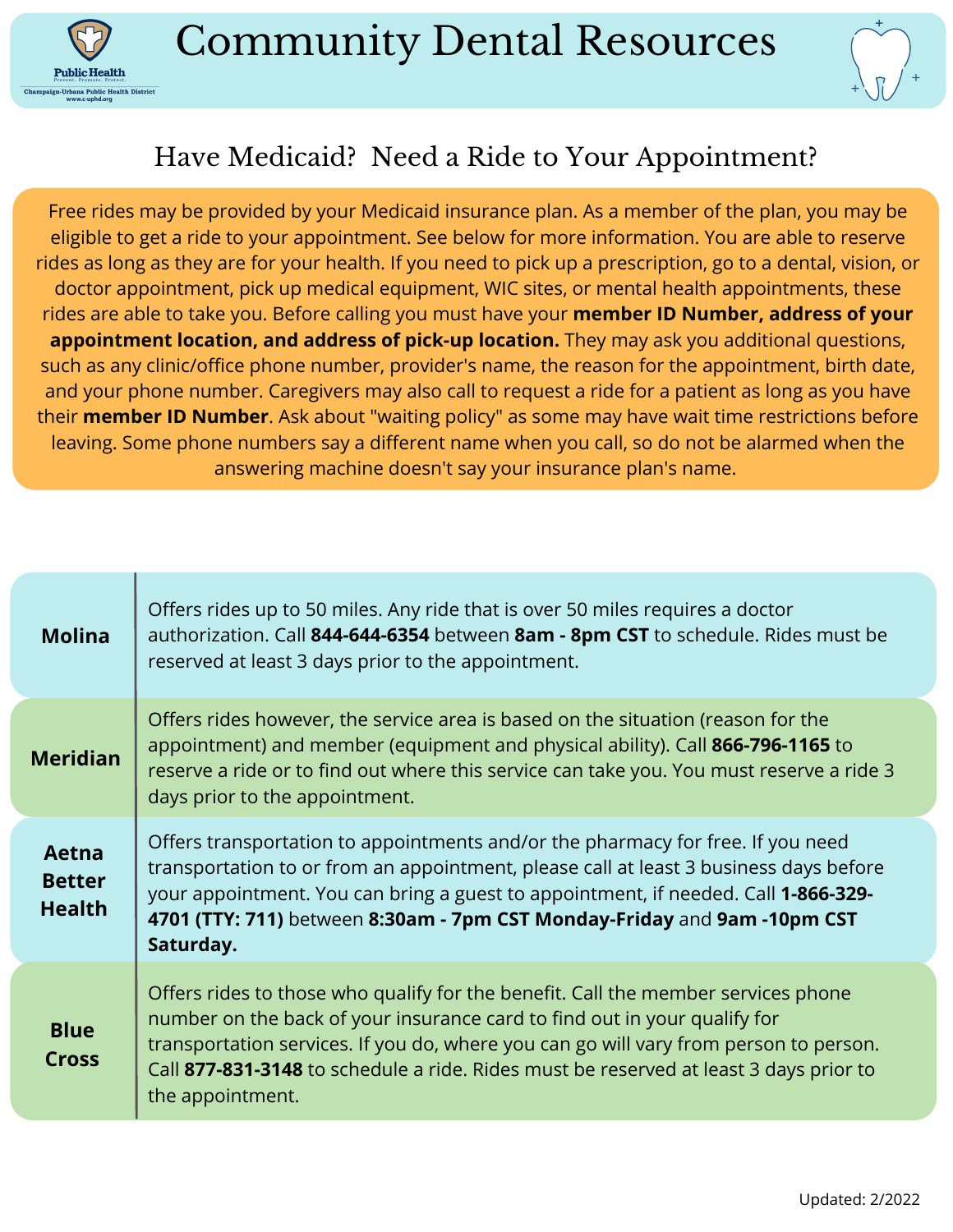

**Public Health** ana Public Health District



#### Have Medicaid? Need a Ride to Your Appointment?

Free rides may be provided by your Medicaid insurance plan. As a member of the plan, you may be eligible to get a ride to your appointment. See below for more information. You are able to reserve rides as long as they are for your health. If you need to pick up a prescription, go to a dental, vision, or doctor appointment, pick up medical equipment, WIC sites, or mental health appointments, these rides are able to take you. Before calling you must have your **member ID Number, address of your appointment location, and address of pick-up location.** They may ask you additional questions, such as any clinic/office phone number, provider's name, the reason for the appointment, birth date, and your phone number. Caregivers may also call to request a ride for a patient as long as you have their **member ID Number**. Ask about "waiting policy" as some may have wait time restrictions before leaving. Some phone numbers say a different name when you call, so do not be alarmed when the answering machine doesn't say your insurance plan's name.

| <b>Molina</b>                           | Offers rides up to 50 miles. Any ride that is over 50 miles requires a doctor<br>authorization. Call 844-644-6354 between 8am - 8pm CST to schedule. Rides must be<br>reserved at least 3 days prior to the appointment.                                                                                                                                             |
|-----------------------------------------|----------------------------------------------------------------------------------------------------------------------------------------------------------------------------------------------------------------------------------------------------------------------------------------------------------------------------------------------------------------------|
| <b>Meridian</b>                         | Offers rides however, the service area is based on the situation (reason for the<br>appointment) and member (equipment and physical ability). Call 866-796-1165 to<br>reserve a ride or to find out where this service can take you. You must reserve a ride 3<br>days prior to the appointment.                                                                     |
| Aetna<br><b>Better</b><br><b>Health</b> | Offers transportation to appointments and/or the pharmacy for free. If you need<br>transportation to or from an appointment, please call at least 3 business days before<br>your appointment. You can bring a guest to appointment, if needed. Call 1-866-329-<br>4701 (TTY: 711) between 8:30am - 7pm CST Monday-Friday and 9am -10pm CST<br>Saturday.              |
| <b>Blue</b><br><b>Cross</b>             | Offers rides to those who qualify for the benefit. Call the member services phone<br>number on the back of your insurance card to find out in your qualify for<br>transportation services. If you do, where you can go will vary from person to person.<br>Call 877-831-3148 to schedule a ride. Rides must be reserved at least 3 days prior to<br>the appointment. |